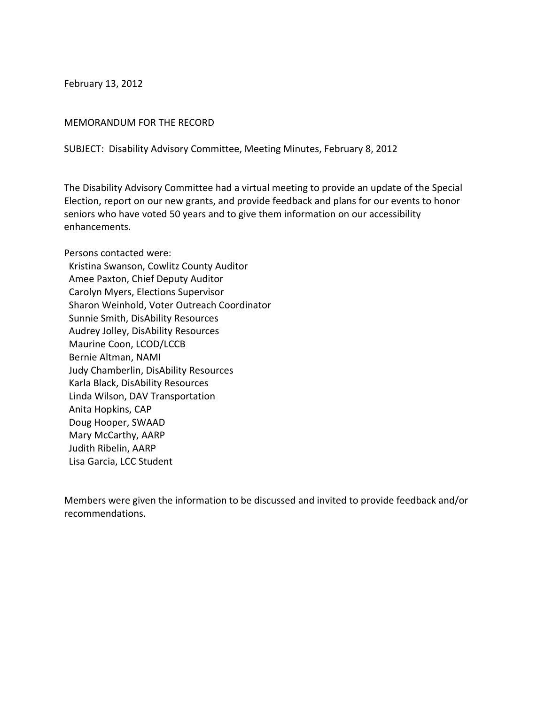February 13, 2012

## MEMORANDUM FOR THE RECORD

SUBJECT: Disability Advisory Committee, Meeting Minutes, February 8, 2012

The Disability Advisory Committee had a virtual meeting to provide an update of the Special Election, report on our new grants, and provide feedback and plans for our events to honor seniors who have voted 50 years and to give them information on our accessibility enhancements.

Persons contacted were: Kristina Swanson, Cowlitz County Auditor Amee Paxton, Chief Deputy Auditor Carolyn Myers, Elections Supervisor Sharon Weinhold, Voter Outreach Coordinator Sunnie Smith, DisAbility Resources Audrey Jolley, DisAbility Resources Maurine Coon, LCOD/LCCB Bernie Altman, NAMI Judy Chamberlin, DisAbility Resources Karla Black, DisAbility Resources Linda Wilson, DAV Transportation Anita Hopkins, CAP Doug Hooper, SWAAD Mary McCarthy, AARP Judith Ribelin, AARP Lisa Garcia, LCC Student

Members were given the information to be discussed and invited to provide feedback and/or recommendations.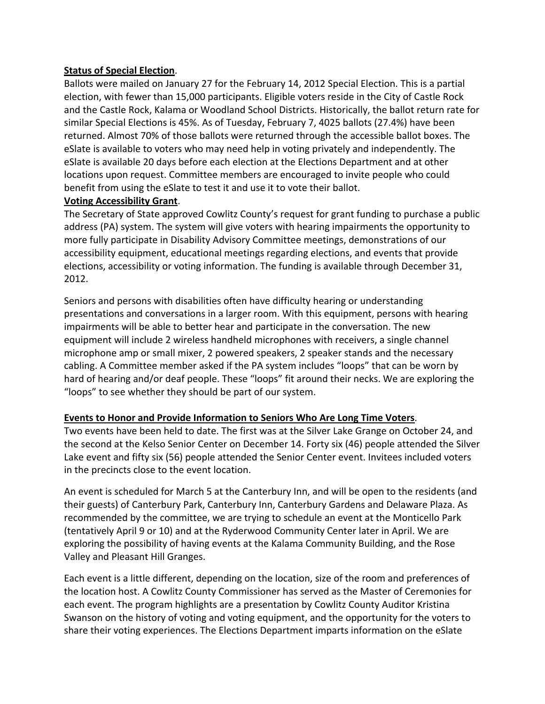## **Status of Special Election**.

Ballots were mailed on January 27 for the February 14, 2012 Special Election. This is a partial election, with fewer than 15,000 participants. Eligible voters reside in the City of Castle Rock and the Castle Rock, Kalama or Woodland School Districts. Historically, the ballot return rate for similar Special Elections is 45%. As of Tuesday, February 7, 4025 ballots (27.4%) have been returned. Almost 70% of those ballots were returned through the accessible ballot boxes. The eSlate is available to voters who may need help in voting privately and independently. The eSlate is available 20 days before each election at the Elections Department and at other locations upon request. Committee members are encouraged to invite people who could benefit from using the eSlate to test it and use it to vote their ballot.

## **Voting Accessibility Grant**.

The Secretary of State approved Cowlitz County's request for grant funding to purchase a public address (PA) system. The system will give voters with hearing impairments the opportunity to more fully participate in Disability Advisory Committee meetings, demonstrations of our accessibility equipment, educational meetings regarding elections, and events that provide elections, accessibility or voting information. The funding is available through December 31, 2012.

Seniors and persons with disabilities often have difficulty hearing or understanding presentations and conversations in a larger room. With this equipment, persons with hearing impairments will be able to better hear and participate in the conversation. The new equipment will include 2 wireless handheld microphones with receivers, a single channel microphone amp or small mixer, 2 powered speakers, 2 speaker stands and the necessary cabling. A Committee member asked if the PA system includes "loops" that can be worn by hard of hearing and/or deaf people. These "loops" fit around their necks. We are exploring the "loops" to see whether they should be part of our system.

## **Events to Honor and Provide Information to Seniors Who Are Long Time Voters**.

Two events have been held to date. The first was at the Silver Lake Grange on October 24, and the second at the Kelso Senior Center on December 14. Forty six (46) people attended the Silver Lake event and fifty six (56) people attended the Senior Center event. Invitees included voters in the precincts close to the event location.

An event is scheduled for March 5 at the Canterbury Inn, and will be open to the residents (and their guests) of Canterbury Park, Canterbury Inn, Canterbury Gardens and Delaware Plaza. As recommended by the committee, we are trying to schedule an event at the Monticello Park (tentatively April 9 or 10) and at the Ryderwood Community Center later in April. We are exploring the possibility of having events at the Kalama Community Building, and the Rose Valley and Pleasant Hill Granges.

Each event is a little different, depending on the location, size of the room and preferences of the location host. A Cowlitz County Commissioner has served as the Master of Ceremonies for each event. The program highlights are a presentation by Cowlitz County Auditor Kristina Swanson on the history of voting and voting equipment, and the opportunity for the voters to share their voting experiences. The Elections Department imparts information on the eSlate